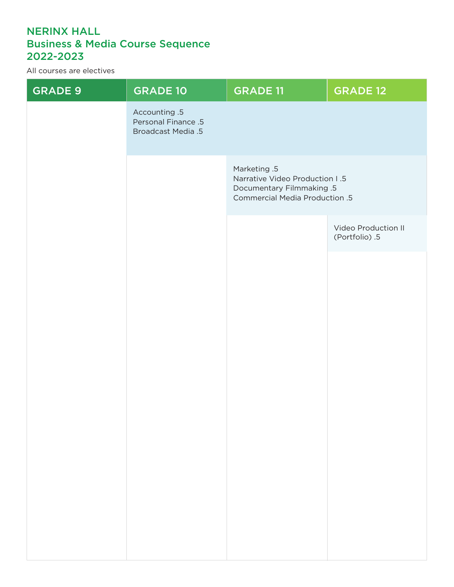# NERINX HALL Business & Media Course Sequence 2022-2023

All courses are electives

| <b>GRADE 9</b> | <b>GRADE 10</b>                                                          | <b>GRADE 11</b>                                                                                                             | <b>GRADE 12</b>                       |
|----------------|--------------------------------------------------------------------------|-----------------------------------------------------------------------------------------------------------------------------|---------------------------------------|
|                | Accounting .5<br><b>Personal Finance .5</b><br><b>Broadcast Media .5</b> |                                                                                                                             |                                       |
|                |                                                                          | Marketing .5<br><b>Narrative Video Production I.5</b><br><b>Documentary Filmmaking .5</b><br>Commercial Media Production .5 |                                       |
|                |                                                                          |                                                                                                                             | Video Production II<br>(Portfolio) .5 |
|                |                                                                          |                                                                                                                             |                                       |
|                |                                                                          |                                                                                                                             |                                       |
|                |                                                                          |                                                                                                                             |                                       |
|                |                                                                          |                                                                                                                             |                                       |
|                |                                                                          |                                                                                                                             |                                       |
|                |                                                                          |                                                                                                                             |                                       |
|                |                                                                          |                                                                                                                             |                                       |
|                |                                                                          |                                                                                                                             |                                       |
|                |                                                                          |                                                                                                                             |                                       |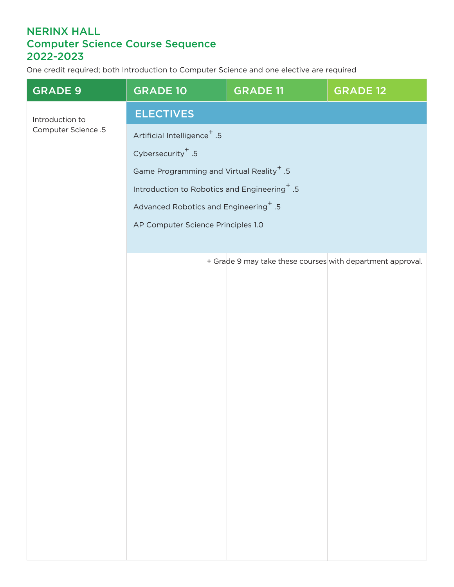## NERINX HALL Computer Science Course Sequence 2022-2023

One credit required; both Introduction to Computer Science and one elective are required

| <b>GRADE 9</b>      | <b>GRADE 10</b>                                          | <b>GRADE 11</b>                                            | <b>GRADE 12</b> |  |
|---------------------|----------------------------------------------------------|------------------------------------------------------------|-----------------|--|
| Introduction to     | <b>ELECTIVES</b>                                         |                                                            |                 |  |
| Computer Science .5 | Artificial Intelligence <sup>+</sup> .5                  |                                                            |                 |  |
|                     | Cybersecurity <sup>+</sup> .5                            |                                                            |                 |  |
|                     | Game Programming and Virtual Reality <sup>+</sup> .5     |                                                            |                 |  |
|                     | Introduction to Robotics and Engineering <sup>+</sup> .5 |                                                            |                 |  |
|                     | Advanced Robotics and Engineering <sup>+</sup> .5        |                                                            |                 |  |
|                     | AP Computer Science Principles 1.0                       |                                                            |                 |  |
|                     |                                                          |                                                            |                 |  |
|                     |                                                          | + Grade 9 may take these courses with department approval. |                 |  |
|                     |                                                          |                                                            |                 |  |
|                     |                                                          |                                                            |                 |  |
|                     |                                                          |                                                            |                 |  |
|                     |                                                          |                                                            |                 |  |
|                     |                                                          |                                                            |                 |  |
|                     |                                                          |                                                            |                 |  |
|                     |                                                          |                                                            |                 |  |
|                     |                                                          |                                                            |                 |  |
|                     |                                                          |                                                            |                 |  |
|                     |                                                          |                                                            |                 |  |
|                     |                                                          |                                                            |                 |  |
|                     |                                                          |                                                            |                 |  |
|                     |                                                          |                                                            |                 |  |
|                     |                                                          |                                                            |                 |  |
|                     |                                                          |                                                            |                 |  |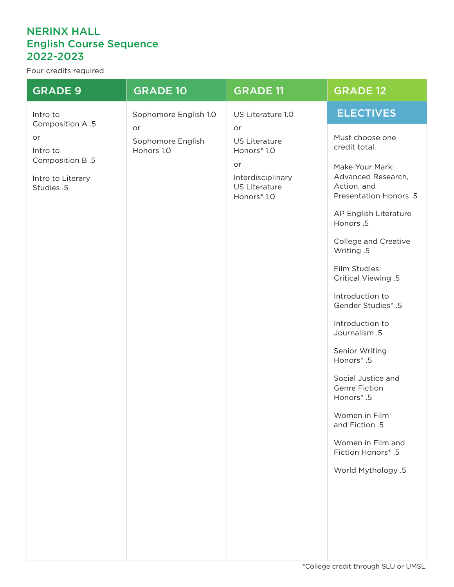### NERINX HALL English Course Sequence 2022-2023

Four credits required

| <b>GRADE 9</b>                                                                          | <b>GRADE 10</b>                       | <b>GRADE 11</b>                                                                                             | <b>GRADE 12</b>                                                                                                                                                                  |
|-----------------------------------------------------------------------------------------|---------------------------------------|-------------------------------------------------------------------------------------------------------------|----------------------------------------------------------------------------------------------------------------------------------------------------------------------------------|
| Intro to                                                                                | Sophomore English 1.0                 | US Literature 1.0                                                                                           | <b>ELECTIVES</b>                                                                                                                                                                 |
| Composition A.5<br>or<br>Intro to<br>Composition B.5<br>Intro to Literary<br>Studies .5 | or<br>Sophomore English<br>Honors 1.0 | or<br><b>US Literature</b><br>Honors* 1.0<br>or<br>Interdisciplinary<br><b>US Literature</b><br>Honors* 1.0 | Must choose one<br>credit total.<br>Make Your Mark:<br>Advanced Research,<br>Action, and<br>Presentation Honors .5<br>AP English Literature<br>Honors .5<br>College and Creative |
|                                                                                         |                                       |                                                                                                             | Writing .5<br>Film Studies:<br>Critical Viewing .5                                                                                                                               |
|                                                                                         |                                       |                                                                                                             | Introduction to<br><b>Gender Studies* .5</b>                                                                                                                                     |
|                                                                                         |                                       |                                                                                                             | Introduction to<br>Journalism .5                                                                                                                                                 |
|                                                                                         |                                       |                                                                                                             | Senior Writing<br>Honors*.5                                                                                                                                                      |
|                                                                                         |                                       |                                                                                                             | Social Justice and<br>Genre Fiction<br>Honors*.5                                                                                                                                 |
|                                                                                         |                                       |                                                                                                             | Women in Film<br>and Fiction .5                                                                                                                                                  |
|                                                                                         |                                       |                                                                                                             | Women in Film and<br>Fiction Honors* .5                                                                                                                                          |
|                                                                                         |                                       |                                                                                                             | World Mythology .5                                                                                                                                                               |
|                                                                                         |                                       |                                                                                                             |                                                                                                                                                                                  |
|                                                                                         |                                       |                                                                                                             |                                                                                                                                                                                  |
|                                                                                         |                                       |                                                                                                             |                                                                                                                                                                                  |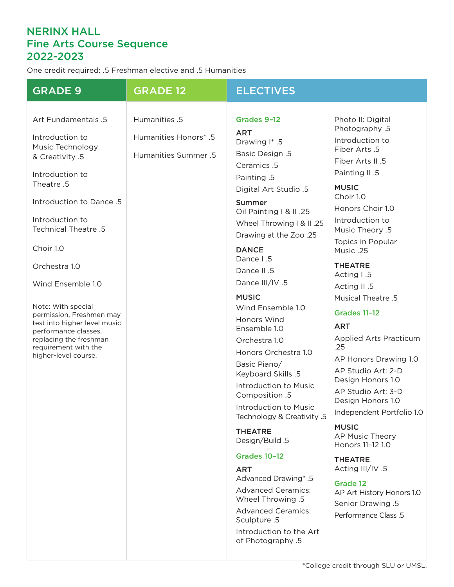# NERINX HALL Fine Arts Course Sequence 2022-2023

One credit required: .5 Freshman elective and .5 Humanities

| <b>GRADE 9</b>                                                                                                                                                                                                                                                                                                                                                                                                               | <b>GRADE 12</b>                                                | <b>ELECTIVES</b>                                                                                                                                                                                                                                                                                                                                                                                                                                                                                                                                                                                                                                                                                                                                                                                    |                                                                                                                                                                                                                                                                                                                                                                                                                                                                                                                                                                                                                                                                                                                                        |
|------------------------------------------------------------------------------------------------------------------------------------------------------------------------------------------------------------------------------------------------------------------------------------------------------------------------------------------------------------------------------------------------------------------------------|----------------------------------------------------------------|-----------------------------------------------------------------------------------------------------------------------------------------------------------------------------------------------------------------------------------------------------------------------------------------------------------------------------------------------------------------------------------------------------------------------------------------------------------------------------------------------------------------------------------------------------------------------------------------------------------------------------------------------------------------------------------------------------------------------------------------------------------------------------------------------------|----------------------------------------------------------------------------------------------------------------------------------------------------------------------------------------------------------------------------------------------------------------------------------------------------------------------------------------------------------------------------------------------------------------------------------------------------------------------------------------------------------------------------------------------------------------------------------------------------------------------------------------------------------------------------------------------------------------------------------------|
| Art Fundamentals .5<br>Introduction to<br>Music Technology<br>& Creativity .5<br>Introduction to<br>Theatre .5<br>Introduction to Dance .5<br>Introduction to<br>Technical Theatre .5<br>Choir 1.0<br>Orchestra 1.0<br>Wind Ensemble 1.0<br>Note: With special<br>permission, Freshmen may<br>test into higher level music<br>performance classes,<br>replacing the freshman<br>requirement with the<br>higher-level course. | Humanities .5<br>Humanities Honors* .5<br>Humanities Summer .5 | Grades 9-12<br><b>ART</b><br>Drawing I* .5<br><b>Basic Design .5</b><br>Ceramics .5<br>Painting .5<br>Digital Art Studio .5<br><b>Summer</b><br>Oil Painting   & II .25<br>Wheel Throwing I & II .25<br>Drawing at the Zoo .25<br><b>DANCE</b><br>Dance I.5<br>Dance II .5<br>Dance III/IV .5<br><b>MUSIC</b><br>Wind Ensemble 1.0<br>Honors Wind<br>Ensemble 1.0<br>Orchestra 1.0<br>Honors Orchestra 1.0<br>Basic Piano/<br>Keyboard Skills .5<br>Introduction to Music<br>Composition .5<br>Introduction to Music<br>5. Technology & Creativity<br><b>THEATRE</b><br>Design/Build .5<br><b>Grades 10-12</b><br><b>ART</b><br>Advanced Drawing* .5<br><b>Advanced Ceramics:</b><br>Wheel Throwing .5<br><b>Advanced Ceramics:</b><br>Sculpture .5<br>Introduction to the Art<br>of Photography .5 | Photo II: Digital<br>Photography .5<br>Introduction to<br>Fiber Arts .5<br>Fiber Arts II .5<br>Painting II .5<br><b>MUSIC</b><br>Choir 1.0<br>Honors Choir 1.0<br>Introduction to<br>Music Theory .5<br>Topics in Popular<br>Music .25<br><b>THEATRE</b><br>Acting I.5<br>Acting II .5<br>Musical Theatre .5<br><b>Grades 11-12</b><br><b>ART</b><br><b>Applied Arts Practicum</b><br>.25<br>AP Honors Drawing 1.0<br>AP Studio Art: 2-D<br>Design Honors 1.0<br>AP Studio Art: 3-D<br>Design Honors 1.0<br>Independent Portfolio 1.0<br><b>MUSIC</b><br>AP Music Theory<br>Honors 11-12 1.0<br><b>THEATRE</b><br>Acting III/IV .5<br><b>Grade 12</b><br>AP Art History Honors 1.0<br><b>Senior Drawing .5</b><br>Performance Class .5 |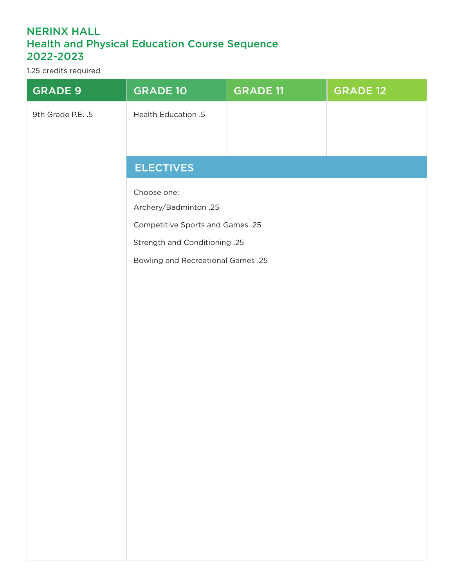## NERINX HALL Health and Physical Education Course Sequence 2022-2023

1.25 credits required

| <b>GRADE 9</b>    | <b>GRADE 10</b>                                                   | <b>GRADE 11</b> | <b>GRADE 12</b> |
|-------------------|-------------------------------------------------------------------|-----------------|-----------------|
| 9th Grade P.E. .5 | Health Education .5                                               |                 |                 |
|                   |                                                                   |                 |                 |
|                   | <b>ELECTIVES</b>                                                  |                 |                 |
|                   |                                                                   |                 |                 |
|                   | Choose one:                                                       |                 |                 |
|                   | Archery/Badminton .25                                             |                 |                 |
|                   | Competitive Sports and Games .25<br>Strength and Conditioning .25 |                 |                 |
|                   | <b>Bowling and Recreational Games .25</b>                         |                 |                 |
|                   |                                                                   |                 |                 |
|                   |                                                                   |                 |                 |
|                   |                                                                   |                 |                 |
|                   |                                                                   |                 |                 |
|                   |                                                                   |                 |                 |
|                   |                                                                   |                 |                 |
|                   |                                                                   |                 |                 |
|                   |                                                                   |                 |                 |
|                   |                                                                   |                 |                 |
|                   |                                                                   |                 |                 |
|                   |                                                                   |                 |                 |
|                   |                                                                   |                 |                 |
|                   |                                                                   |                 |                 |
|                   |                                                                   |                 |                 |
|                   |                                                                   |                 |                 |
|                   |                                                                   |                 |                 |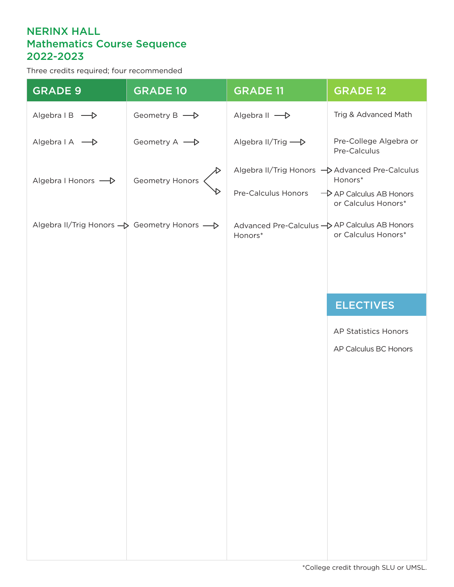## NERINX HALL Mathematics Course Sequence 2022-2023

Three credits required; four recommended

| <b>GRADE 9</b>                             | <b>GRADE 10</b> | <b>GRADE 11</b>                                          | <b>GRADE 12</b>                                            |
|--------------------------------------------|-----------------|----------------------------------------------------------|------------------------------------------------------------|
| Algebra $\mathsf{IB} \longrightarrow$      | Geometry B -    | Algebra II ->                                            | Trig & Advanced Math                                       |
| Algebra   A<br>- >                         | Geometry A - D  | Algebra II/Trig -                                        | Pre-College Algebra or<br>Pre-Calculus                     |
| Algebra I Honors -                         | Geometry Honors | Algebra II/Trig Honors ->> Advanced Pre-Calculus         | Honors*                                                    |
|                                            |                 | Pre-Calculus Honors                                      | $\rightarrow$ AP Calculus AB Honors<br>or Calculus Honors* |
| Algebra II/Trig Honors → Geometry Honors → |                 | Advanced Pre-Calculus - AP Calculus AB Honors<br>Honors* | or Calculus Honors*                                        |
|                                            |                 |                                                          |                                                            |
|                                            |                 |                                                          |                                                            |
|                                            |                 |                                                          | <b>ELECTIVES</b>                                           |
|                                            |                 |                                                          | AP Statistics Honors                                       |
|                                            |                 |                                                          | AP Calculus BC Honors                                      |
|                                            |                 |                                                          |                                                            |
|                                            |                 |                                                          |                                                            |
|                                            |                 |                                                          |                                                            |
|                                            |                 |                                                          |                                                            |
|                                            |                 |                                                          |                                                            |
|                                            |                 |                                                          |                                                            |
|                                            |                 |                                                          |                                                            |
|                                            |                 |                                                          |                                                            |
|                                            |                 |                                                          |                                                            |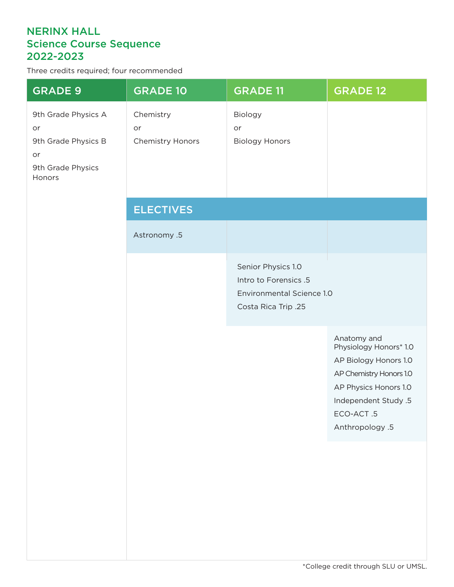## NERINX HALL Science Course Sequence 2022-2023

Three credits required; four recommended

| <b>GRADE 9</b>                                                                        | <b>GRADE 10</b>                     | <b>GRADE 11</b>                                                                                 | <b>GRADE 12</b>                                                                                                                                                            |
|---------------------------------------------------------------------------------------|-------------------------------------|-------------------------------------------------------------------------------------------------|----------------------------------------------------------------------------------------------------------------------------------------------------------------------------|
| 9th Grade Physics A<br>or<br>9th Grade Physics B<br>or<br>9th Grade Physics<br>Honors | Chemistry<br>or<br>Chemistry Honors | Biology<br>or<br><b>Biology Honors</b>                                                          |                                                                                                                                                                            |
|                                                                                       | <b>ELECTIVES</b>                    |                                                                                                 |                                                                                                                                                                            |
|                                                                                       | Astronomy .5                        |                                                                                                 |                                                                                                                                                                            |
|                                                                                       |                                     | Senior Physics 1.0<br>Intro to Forensics .5<br>Environmental Science 1.0<br>Costa Rica Trip .25 |                                                                                                                                                                            |
|                                                                                       |                                     |                                                                                                 | Anatomy and<br>Physiology Honors* 1.0<br>AP Biology Honors 1.0<br>AP Chemistry Honors 1.0<br>AP Physics Honors 1.0<br>Independent Study .5<br>ECO-ACT.5<br>Anthropology .5 |
|                                                                                       |                                     |                                                                                                 |                                                                                                                                                                            |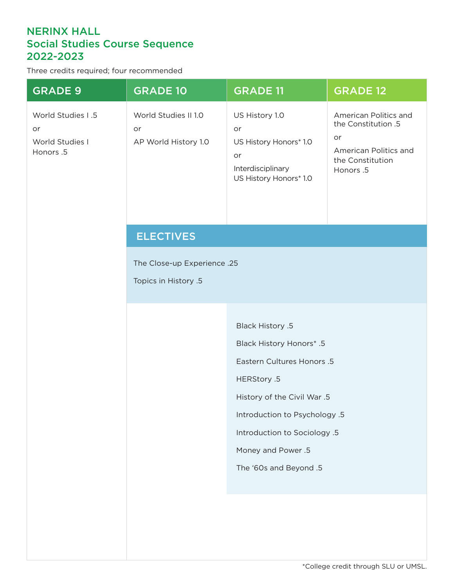#### NERINX HALL Social Studies Course Sequence 2022-2023

Three credits required; four recommended

| <b>GRADE 9</b>                                          | <b>GRADE 10</b>                                     | <b>GRADE 11</b>                                                                                                                                                                                                                                         | <b>GRADE 12</b>                                                                                             |  |  |
|---------------------------------------------------------|-----------------------------------------------------|---------------------------------------------------------------------------------------------------------------------------------------------------------------------------------------------------------------------------------------------------------|-------------------------------------------------------------------------------------------------------------|--|--|
| World Studies I .5<br>or<br>World Studies I<br>Honors.5 | World Studies II 1.0<br>or<br>AP World History 1.0  | US History 1.0<br>or<br>US History Honors* 1.0<br>or<br>Interdisciplinary<br>US History Honors* 1.0                                                                                                                                                     | American Politics and<br>the Constitution .5<br>or<br>American Politics and<br>the Constitution<br>Honors.5 |  |  |
|                                                         | <b>ELECTIVES</b>                                    |                                                                                                                                                                                                                                                         |                                                                                                             |  |  |
|                                                         | The Close-up Experience .25<br>Topics in History .5 |                                                                                                                                                                                                                                                         |                                                                                                             |  |  |
|                                                         |                                                     | <b>Black History .5</b><br><b>Black History Honors* .5</b><br>Eastern Cultures Honors .5<br>HERStory .5<br>History of the Civil War .5<br>Introduction to Psychology .5<br>Introduction to Sociology .5<br>Money and Power .5<br>The '60s and Beyond .5 |                                                                                                             |  |  |
|                                                         |                                                     |                                                                                                                                                                                                                                                         |                                                                                                             |  |  |
|                                                         |                                                     |                                                                                                                                                                                                                                                         |                                                                                                             |  |  |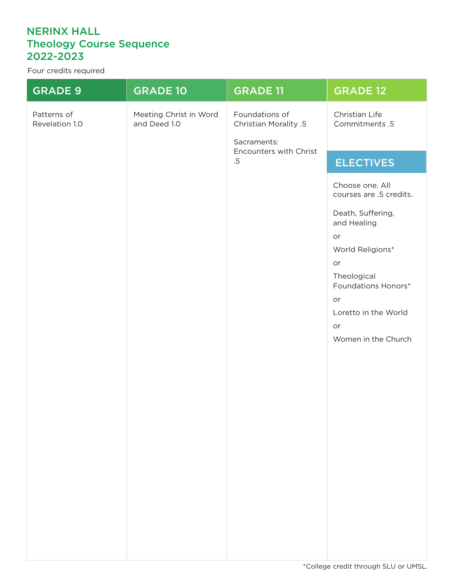# NERINX HALL Theology Course Sequence 2022-2023

Four credits required

| <b>GRADE 9</b>                | <b>GRADE 10</b>                        | <b>GRADE 11</b>                                                                            | <b>GRADE 12</b>                                                                                                                                      |
|-------------------------------|----------------------------------------|--------------------------------------------------------------------------------------------|------------------------------------------------------------------------------------------------------------------------------------------------------|
| Patterns of<br>Revelation 1.0 | Meeting Christ in Word<br>and Deed 1.0 | Foundations of<br>Christian Morality .5<br>Sacraments:<br>Encounters with Christ<br>$.5\,$ | Christian Life<br>Commitments .5                                                                                                                     |
|                               |                                        |                                                                                            | <b>ELECTIVES</b>                                                                                                                                     |
|                               |                                        |                                                                                            | Choose one. All<br>courses are .5 credits.<br>Death, Suffering,<br>and Healing<br>or<br>World Religions*<br>or<br>Theological<br>Foundations Honors* |
|                               |                                        |                                                                                            | or<br>Loretto in the World                                                                                                                           |
|                               |                                        |                                                                                            | or<br>Women in the Church                                                                                                                            |